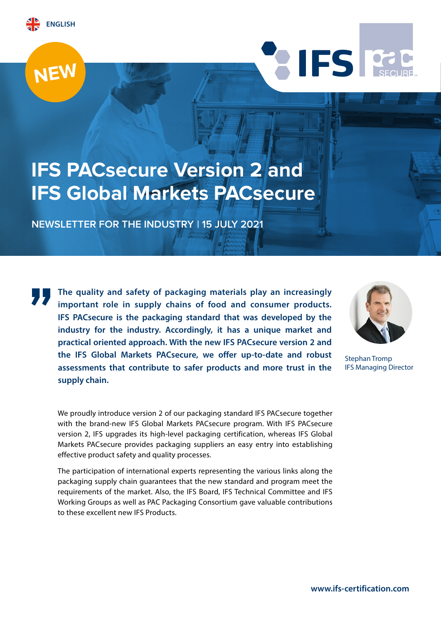





# **IFS PACsecure Version 2 and IFS Global Markets PACsecure**

**NEWSLETTER FOR THE INDUSTRY  | 15 JULY 2021**

**The quality and safety of packaging materials play an increasingly important role in supply chains of food and consumer products. IFS PACsecure is the packaging standard that was developed by the industry for the industry. Accordingly, it has a unique market and practical oriented approach. With the new IFS PACsecure version 2 and the IFS Global Markets PACsecure, we offer up-to-date and robust assessments that contribute to safer products and more trust in the supply chain.**

We proudly introduce version 2 of our packaging standard IFS PACsecure together with the brand-new IFS Global Markets PACsecure program. With IFS PACsecure version 2, IFS upgrades its high-level packaging certification, whereas IFS Global Markets PACsecure provides packaging suppliers an easy entry into establishing effective product safety and quality processes.

The participation of international experts representing the various links along the packaging supply chain guarantees that the new standard and program meet the requirements of the market. Also, the IFS Board, IFS Technical Committee and IFS Working Groups as well as PAC Packaging Consortium gave valuable contributions to these excellent new IFS Products.



Stephan Tromp IFS Managing Director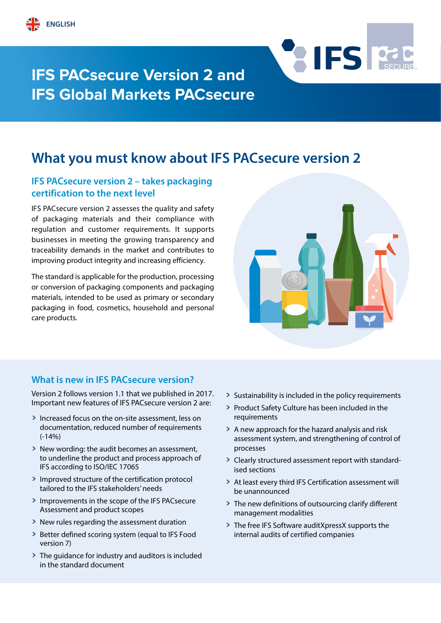



# **IFS PACsecure Version 2 and IFS Global Markets PACsecure**

## **What you must know about IFS PACsecure version 2**

### **IFS PACsecure version 2 – takes packaging certification to the next level**

IFS PACsecure version 2 assesses the quality and safety of packaging materials and their compliance with regulation and customer requirements. It supports businesses in meeting the growing transparency and traceability demands in the market and contributes to improving product integrity and increasing efficiency.

The standard is applicable for the production, processing or conversion of packaging components and packaging materials, intended to be used as primary or secondary packaging in food, cosmetics, household and personal care products.



### **What is new in IFS PACsecure version?**

Version 2 follows version 1.1 that we published in 2017. Important new features of IFS PACsecure version 2 are:

- > Increased focus on the on-site assessment, less on documentation, reduced number of requirements (-14%)
- > New wording: the audit becomes an assessment, to underline the product and process approach of IFS according to ISO/IEC 17065
- > Improved structure of the certification protocol tailored to the IFS stakeholders' needs
- > Improvements in the scope of the IFS PACsecure Assessment and product scopes
- > New rules regarding the assessment duration
- > Better defined scoring system (equal to IFS Food version 7)
- > The guidance for industry and auditors is included in the standard document
- > Sustainability is included in the policy requirements
- > Product Safety Culture has been included in the requirements
- > A new approach for the hazard analysis and risk assessment system, and strengthening of control of processes
- > Clearly structured assessment report with standardised sections
- > At least every third IFS Certification assessment will be unannounced
- > The new definitions of outsourcing clarify different management modalities
- > The free IFS Software auditXpressX supports the internal audits of certified companies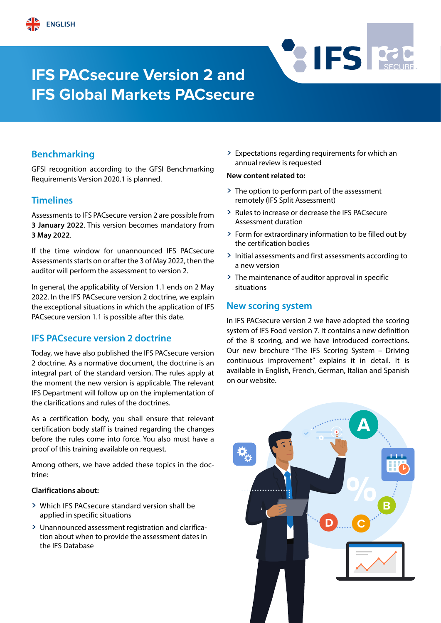# **IFS PACsecure Version 2 and IFS Global Markets PACsecure**

## **Benchmarking**

GFSI recognition according to the GFSI Benchmarking Requirements Version 2020.1 is planned.

#### **Timelines**

Assessments to IFS PACsecure version 2 are possible from **3 January 2022**. This version becomes mandatory from **3 May 2022**.

If the time window for unannounced IFS PACsecure Assessments starts on or after the 3 of May 2022, then the auditor will perform the assessment to version 2.

In general, the applicability of Version 1.1 ends on 2 May 2022. In the IFS PACsecure version 2 doctrine, we explain the exceptional situations in which the application of IFS PACsecure version 1.1 is possible after this date.

### **IFS PACsecure version 2 doctrine**

Today, we have also published the IFS PACsecure version 2 doctrine. As a normative document, the doctrine is an integral part of the standard version. The rules apply at the moment the new version is applicable. The relevant IFS Department will follow up on the implementation of the clarifications and rules of the doctrines.

As a certification body, you shall ensure that relevant certification body staff is trained regarding the changes before the rules come into force. You also must have a proof of this training available on request.

Among others, we have added these topics in the doctrine:

#### **Clarifications about:**

- > Which IFS PACsecure standard version shall be applied in specific situations
- > Unannounced assessment registration and clarification about when to provide the assessment dates in the IFS Database

> Expectations regarding requirements for which an annual review is requested

**RIFS FORE** 

#### **New content related to:**

- > The option to perform part of the assessment remotely (IFS Split Assessment)
- > Rules to increase or decrease the IFS PACsecure Assessment duration
- > Form for extraordinary information to be filled out by the certification bodies
- > Initial assessments and first assessments according to a new version
- > The maintenance of auditor approval in specific situations

#### **New scoring system**

In IFS PACsecure version 2 we have adopted the scoring system of IFS Food version 7. It contains a new definition of the B scoring, and we have introduced corrections. Our new brochure "The IFS Scoring System – Driving continuous improvement" explains it in detail. It is available in English, French, German, Italian and Spanish on our website.

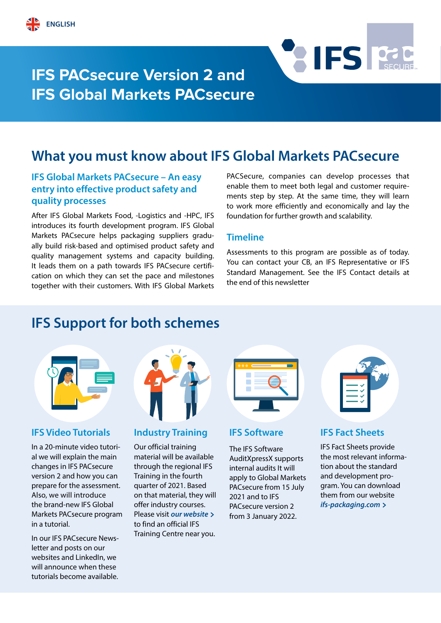



## **What you must know about IFS Global Markets PACsecure**

## **IFS Global Markets PACsecure – An easy entry into effective product safety and quality processes**

After IFS Global Markets Food, -Logistics and -HPC, IFS introduces its fourth development program. IFS Global Markets PACsecure helps packaging suppliers gradually build risk-based and optimised product safety and quality management systems and capacity building. It leads them on a path towards IFS PACsecure certification on which they can set the pace and milestones together with their customers. With IFS Global Markets

PACSecure, companies can develop processes that enable them to meet both legal and customer requirements step by step. At the same time, they will learn to work more efficiently and economically and lay the foundation for further growth and scalability.

**RIFS REC** 

#### **Timeline**

Assessments to this program are possible as of today. You can contact your CB, an IFS Representative or IFS Standard Management. See the IFS Contact details at the end of this newsletter

## **IFS Support for both schemes**



### **IFS Video Tutorials**

In a 20-minute video tutorial we will explain the main changes in IFS PACsecure version 2 and how you can prepare for the assessment. Also, we will introduce the brand-new IFS Global Markets PACsecure program in a tutorial.

In our IFS PACsecure Newsletter and posts on our websites and LinkedIn, we will announce when these tutorials become available.



#### **Industry Training**

Our official training material will be available through the regional IFS Training in the fourth quarter of 2021. Based on that material, they will offer industry courses. Please visit *[our website](https://www.ifs-certification.com/index.php/en/partners/training-center)* **>** [to find an official IFS](https://www.ifs-certification.com/index.php/en/partners/training-center)  [Training Centre near you.](https://www.ifs-certification.com/index.php/en/partners/training-center) 

| $\bullet\bullet\bullet$ |  |
|-------------------------|--|
|                         |  |
|                         |  |
|                         |  |

#### **IFS Software**

The IFS Software AuditXpressX supports internal audits It will apply to Global Markets PACsecure from 15 July 2021 and to IFS PACsecure version 2 from 3 January 2022.

### **IFS Fact Sheets**

IFS Fact Sheets provide the most relevant information about the standard and development program. You can download them from our website *[ifs-packaging.com](https://ifs-packaging.com/)* **>**